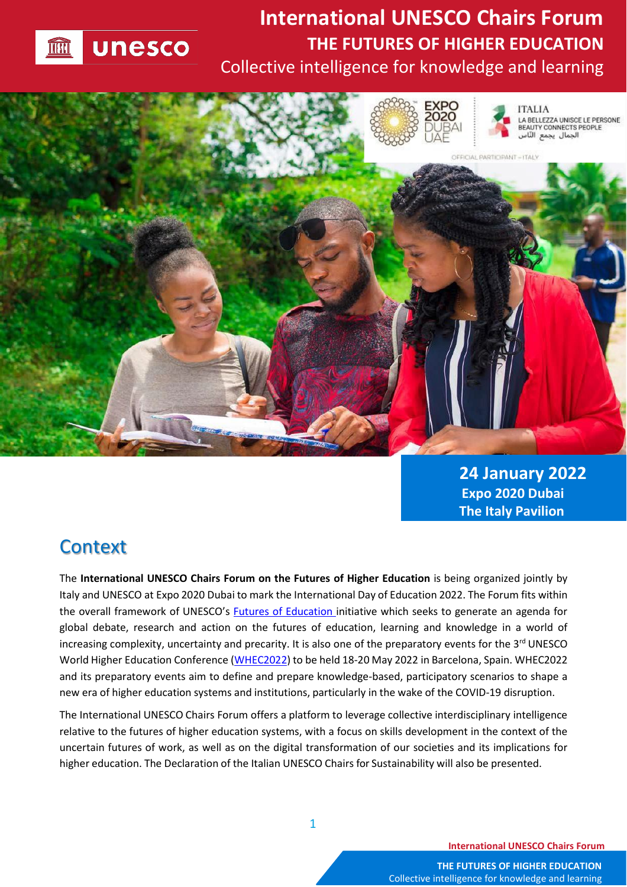

## **International UNESCO Chairs Forum THE FUTURES OF HIGHER EDUCATION** Collective intelligence for knowledge and learning



**24 January 2022 Expo 2020 Dubai The Italy Pavilion**

#### **Context**

The **International UNESCO Chairs Forum on the Futures of Higher Education** is being organized jointly by Italy and UNESCO at Expo 2020 Dubai to mark the International Day of Education 2022. The Forum fits within the overall framework of UNESCO's [Futures of Education](https://en.unesco.org/futuresofeducation/) initiative which seeks to generate an agenda for global debate, research and action on the futures of education, learning and knowledge in a world of increasing complexity, uncertainty and precarity. It is also one of the preparatory events for the 3<sup>rd</sup> UNESCO World Higher Education Conference [\(WHEC2022\)](https://en.unesco.org/news/unesco-world-higher-education-conference-2022) to be held 18-20 May 2022 in Barcelona, Spain. WHEC2022 and its preparatory events aim to define and prepare knowledge-based, participatory scenarios to shape a new era of higher education systems and institutions, particularly in the wake of the COVID-19 disruption.

The International UNESCO Chairs Forum offers a platform to leverage collective interdisciplinary intelligence relative to the futures of higher education systems, with a focus on skills development in the context of the uncertain futures of work, as well as on the digital transformation of our societies and its implications for higher education. The Declaration of the Italian UNESCO Chairs for Sustainability will also be presented.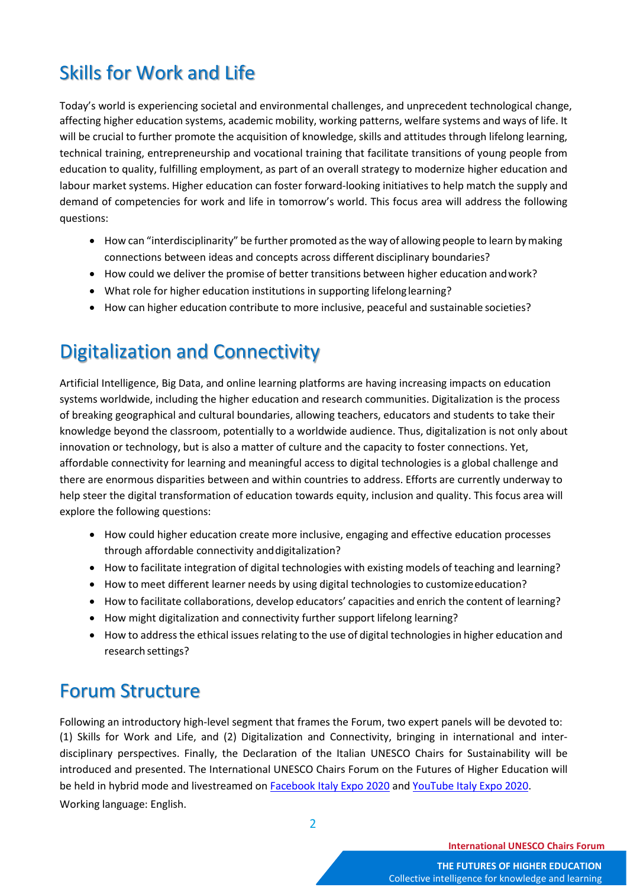# Skills for Work and Life

Today's world is experiencing societal and environmental challenges, and unprecedent technological change, affecting higher education systems, academic mobility, working patterns, welfare systems and ways of life. It will be crucial to further promote the acquisition of knowledge, skills and attitudes through lifelong learning, technical training, entrepreneurship and vocational training that facilitate transitions of young people from education to quality, fulfilling employment, as part of an overall strategy to modernize higher education and labour market systems. Higher education can foster forward-looking initiatives to help match the supply and demand of competencies for work and life in tomorrow's world. This focus area will address the following questions:

- How can "interdisciplinarity" be further promoted as the way of allowing people to learn by making connections between ideas and concepts across different disciplinary boundaries?
- How could we deliver the promise of better transitions between higher education andwork?
- What role for higher education institutions in supporting lifelong learning?
- How can higher education contribute to more inclusive, peaceful and sustainable societies?

## Digitalization and Connectivity

Artificial Intelligence, Big Data, and online learning platforms are having increasing impacts on education systems worldwide, including the higher education and research communities. Digitalization is the process of breaking geographical and cultural boundaries, allowing teachers, educators and students to take their knowledge beyond the classroom, potentially to a worldwide audience. Thus, digitalization is not only about innovation or technology, but is also a matter of culture and the capacity to foster connections. Yet, affordable connectivity for learning and meaningful access to digital technologies is a global challenge and there are enormous disparities between and within countries to address. Efforts are currently underway to help steer the digital transformation of education towards equity, inclusion and quality. This focus area will explore the following questions:

- How could higher education create more inclusive, engaging and effective education processes through affordable connectivity anddigitalization?
- How to facilitate integration of digital technologies with existing models of teaching and learning?
- How to meet different learner needs by using digital technologies to customizeeducation?
- How to facilitate collaborations, develop educators' capacities and enrich the content of learning?
- How might digitalization and connectivity further support lifelong learning?
- How to address the ethical issues relating to the use of digital technologies in higher education and research settings?

### Forum Structure

Following an introductory high-level segment that frames the Forum, two expert panels will be devoted to: (1) Skills for Work and Life, and (2) Digitalization and Connectivity, bringing in international and interdisciplinary perspectives. Finally, the Declaration of the Italian UNESCO Chairs for Sustainability will be introduced and presented. The International UNESCO Chairs Forum on the Futures of Higher Education will be held in hybrid mode and livestreamed on [Facebook Italy Expo 2020](https://fb.me/e/8aLLqJoS9) and [YouTube Italy Expo 2020.](https://youtu.be/ZW0UCZDzKJQ) Working language: English.

2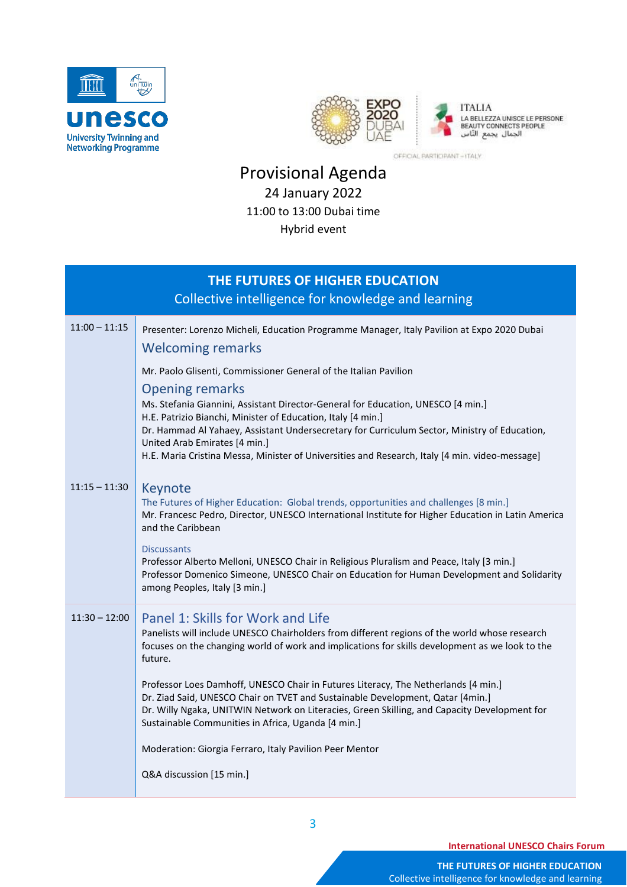



OFFICIAL PARTICIPANT - ITALY

#### Provisional Agenda 24 January 2022 11:00 to 13:00 Dubai time Hybrid event

| THE FUTURES OF HIGHER EDUCATION<br>Collective intelligence for knowledge and learning                                                                                                                                                                                                                                                                                                                                                                                                                                                                                                                                                                                 |  |
|-----------------------------------------------------------------------------------------------------------------------------------------------------------------------------------------------------------------------------------------------------------------------------------------------------------------------------------------------------------------------------------------------------------------------------------------------------------------------------------------------------------------------------------------------------------------------------------------------------------------------------------------------------------------------|--|
| Presenter: Lorenzo Micheli, Education Programme Manager, Italy Pavilion at Expo 2020 Dubai<br><b>Welcoming remarks</b>                                                                                                                                                                                                                                                                                                                                                                                                                                                                                                                                                |  |
| Mr. Paolo Glisenti, Commissioner General of the Italian Pavilion<br><b>Opening remarks</b><br>Ms. Stefania Giannini, Assistant Director-General for Education, UNESCO [4 min.]<br>H.E. Patrizio Bianchi, Minister of Education, Italy [4 min.]<br>Dr. Hammad Al Yahaey, Assistant Undersecretary for Curriculum Sector, Ministry of Education,<br>United Arab Emirates [4 min.]<br>H.E. Maria Cristina Messa, Minister of Universities and Research, Italy [4 min. video-message]                                                                                                                                                                                     |  |
| Keynote<br>The Futures of Higher Education: Global trends, opportunities and challenges [8 min.]<br>Mr. Francesc Pedro, Director, UNESCO International Institute for Higher Education in Latin America<br>and the Caribbean<br><b>Discussants</b><br>Professor Alberto Melloni, UNESCO Chair in Religious Pluralism and Peace, Italy [3 min.]<br>Professor Domenico Simeone, UNESCO Chair on Education for Human Development and Solidarity<br>among Peoples, Italy [3 min.]                                                                                                                                                                                          |  |
| Panel 1: Skills for Work and Life<br>Panelists will include UNESCO Chairholders from different regions of the world whose research<br>focuses on the changing world of work and implications for skills development as we look to the<br>future.<br>Professor Loes Damhoff, UNESCO Chair in Futures Literacy, The Netherlands [4 min.]<br>Dr. Ziad Said, UNESCO Chair on TVET and Sustainable Development, Qatar [4min.]<br>Dr. Willy Ngaka, UNITWIN Network on Literacies, Green Skilling, and Capacity Development for<br>Sustainable Communities in Africa, Uganda [4 min.]<br>Moderation: Giorgia Ferraro, Italy Pavilion Peer Mentor<br>Q&A discussion [15 min.] |  |
|                                                                                                                                                                                                                                                                                                                                                                                                                                                                                                                                                                                                                                                                       |  |

3